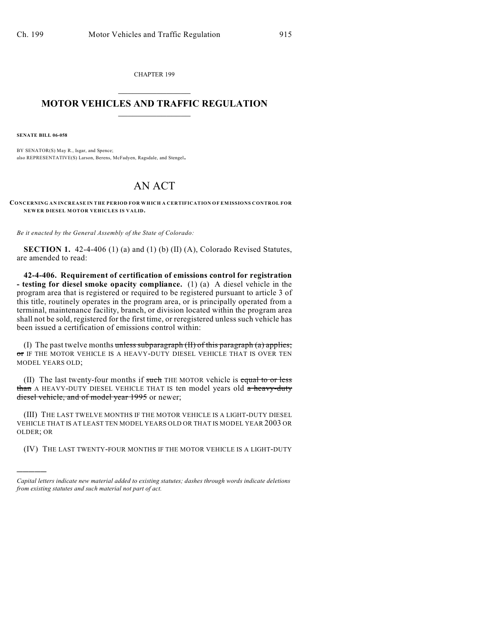CHAPTER 199  $\mathcal{L}_\text{max}$  . The set of the set of the set of the set of the set of the set of the set of the set of the set of the set of the set of the set of the set of the set of the set of the set of the set of the set of the set

## **MOTOR VEHICLES AND TRAFFIC REGULATION**  $\frac{1}{2}$  ,  $\frac{1}{2}$  ,  $\frac{1}{2}$  ,  $\frac{1}{2}$  ,  $\frac{1}{2}$  ,  $\frac{1}{2}$  ,  $\frac{1}{2}$  ,  $\frac{1}{2}$

**SENATE BILL 06-058**

)))))

BY SENATOR(S) May R., Isgar, and Spence; also REPRESENTATIVE(S) Larson, Berens, McFadyen, Ragsdale, and Stengel.

## AN ACT

**CONCERNING AN INCREASE IN THE PERIOD FOR WHICH A CERTIFICATION OF EMISSIONS CONTROL FOR NEWER DIESEL MOTOR VEHICLES IS VALID.**

*Be it enacted by the General Assembly of the State of Colorado:*

**SECTION 1.** 42-4-406 (1) (a) and (1) (b) (II) (A), Colorado Revised Statutes, are amended to read:

**42-4-406. Requirement of certification of emissions control for registration - testing for diesel smoke opacity compliance.** (1) (a) A diesel vehicle in the program area that is registered or required to be registered pursuant to article 3 of this title, routinely operates in the program area, or is principally operated from a terminal, maintenance facility, branch, or division located within the program area shall not be sold, registered for the first time, or reregistered unless such vehicle has been issued a certification of emissions control within:

(I) The past twelve months unless subparagraph  $(H)$  of this paragraph  $(a)$  applies; or IF THE MOTOR VEHICLE IS A HEAVY-DUTY DIESEL VEHICLE THAT IS OVER TEN MODEL YEARS OLD;

(II) The last twenty-four months if such THE MOTOR vehicle is equal to or less than A HEAVY-DUTY DIESEL VEHICLE THAT IS ten model years old a heavy-duty diesel vehicle, and of model year 1995 or newer;

(III) THE LAST TWELVE MONTHS IF THE MOTOR VEHICLE IS A LIGHT-DUTY DIESEL VEHICLE THAT IS AT LEAST TEN MODEL YEARS OLD OR THAT IS MODEL YEAR 2003 OR OLDER; OR

(IV) THE LAST TWENTY-FOUR MONTHS IF THE MOTOR VEHICLE IS A LIGHT-DUTY

*Capital letters indicate new material added to existing statutes; dashes through words indicate deletions from existing statutes and such material not part of act.*